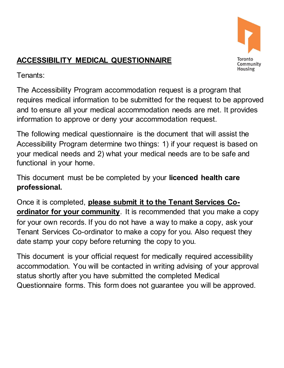

# **ACCESSIBILITY MEDICAL QUESTIONNAIRE**

Tenants:

 The Accessibility Program accommodation request is a program that requires medical information to be submitted for the request to be approved and to ensure all your medical accommodation needs are met. It provides information to approve or deny your accommodation request.

 The following medical questionnaire is the document that will assist the Accessibility Program determine two things: 1) if your request is based on your medical needs and 2) what your medical needs are to be safe and functional in your home.

 This document must be be completed by your **licenced health care professional.** 

Once it is completed, **please submit it to the Tenant Services Coordinator for your community**. It is recommended that you make a copy for your own records. If you do not have a way to make a copy, ask your Tenant Services Co-ordinator to make a copy for you. Also request they date stamp your copy before returning the copy to you.

 This document is your official request for medically required accessibility accommodation. You will be contacted in writing advising of your approval status shortly after you have submitted the completed Medical Questionnaire forms. This form does not guarantee you will be approved.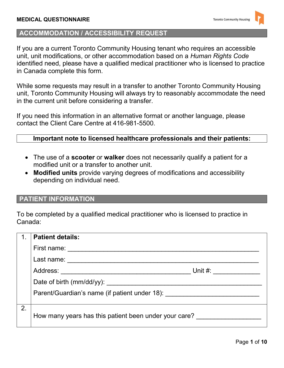# **ACCOMMODATION / ACCESSIBILITY REQUEST**

 If you are a current Toronto Community Housing tenant who requires an accessible unit, unit modifications, or other accommodation based on a *Human Rights Code*  identified need, please have a qualified medical practitioner who is licensed to practice in Canada complete this form.

 While some requests may result in a transfer to another Toronto Community Housing unit, Toronto Community Housing will always try to reasonably accommodate the need in the current unit before considering a transfer.

 If you need this information in an alternative format or another language, please contact the Client Care Centre at 416-981-5500.

## **Important note to licensed healthcare professionals and their patients:**

- The use of a **scooter** or **walker** does not necessarily qualify a patient for a modified unit or a transfer to another unit.
- **Modified units** provide varying degrees of modifications and accessibility depending on individual need.

# **PATIENT INFORMATION**

 To be completed by a qualified medical practitioner who is licensed to practice in Canada:

|    | <b>Patient details:</b>                                                                                                                                                                                                        |         |
|----|--------------------------------------------------------------------------------------------------------------------------------------------------------------------------------------------------------------------------------|---------|
|    | First name: The contract of the contract of the contract of the contract of the contract of the contract of the contract of the contract of the contract of the contract of the contract of the contract of the contract of th |         |
|    | Last name:                                                                                                                                                                                                                     |         |
|    | Address:                                                                                                                                                                                                                       | Unit #: |
|    |                                                                                                                                                                                                                                |         |
|    | Parent/Guardian's name (if patient under 18):                                                                                                                                                                                  |         |
|    |                                                                                                                                                                                                                                |         |
| 2. | How many years has this patient been under your care?                                                                                                                                                                          |         |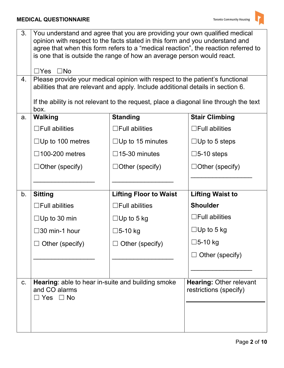| 3.<br>4.       | You understand and agree that you are providing your own qualified medical<br>opinion with respect to the facts stated in this form and you understand and<br>agree that when this form refers to a "medical reaction", the reaction referred to<br>is one that is outside the range of how an average person would react.<br>$\Box$ Yes<br>$\square$ No<br>Please provide your medical opinion with respect to the patient's functional<br>abilities that are relevant and apply. Include additional details in section 6.<br>If the ability is not relevant to the request, place a diagonal line through the text |                               |                                                          |
|----------------|----------------------------------------------------------------------------------------------------------------------------------------------------------------------------------------------------------------------------------------------------------------------------------------------------------------------------------------------------------------------------------------------------------------------------------------------------------------------------------------------------------------------------------------------------------------------------------------------------------------------|-------------------------------|----------------------------------------------------------|
| a.             | box.<br><b>Standing</b><br><b>Walking</b><br><b>Stair Climbing</b>                                                                                                                                                                                                                                                                                                                                                                                                                                                                                                                                                   |                               |                                                          |
|                | $\Box$ Full abilities                                                                                                                                                                                                                                                                                                                                                                                                                                                                                                                                                                                                | $\Box$ Full abilities         | $\Box$ Full abilities                                    |
|                | $\Box$ Up to 100 metres                                                                                                                                                                                                                                                                                                                                                                                                                                                                                                                                                                                              | $\Box$ Up to 15 minutes       | $\Box$ Up to 5 steps                                     |
|                | $\Box$ 100-200 metres                                                                                                                                                                                                                                                                                                                                                                                                                                                                                                                                                                                                | $\Box$ 15-30 minutes          | $\square$ 5-10 steps                                     |
|                | $\Box$ Other (specify)                                                                                                                                                                                                                                                                                                                                                                                                                                                                                                                                                                                               | $\Box$ Other (specify)        | $\Box$ Other (specify)                                   |
|                |                                                                                                                                                                                                                                                                                                                                                                                                                                                                                                                                                                                                                      |                               |                                                          |
| b <sub>1</sub> | <b>Sitting</b>                                                                                                                                                                                                                                                                                                                                                                                                                                                                                                                                                                                                       | <b>Lifting Floor to Waist</b> | <b>Lifting Waist to</b>                                  |
|                | $\Box$ Full abilities                                                                                                                                                                                                                                                                                                                                                                                                                                                                                                                                                                                                | $\Box$ Full abilities         | <b>Shoulder</b>                                          |
|                | $\Box$ Up to 30 min                                                                                                                                                                                                                                                                                                                                                                                                                                                                                                                                                                                                  | $\Box$ Up to 5 kg             | $\Box$ Full abilities                                    |
|                | $\square$ 30 min-1 hour                                                                                                                                                                                                                                                                                                                                                                                                                                                                                                                                                                                              | $\Box$ 5-10 kg                | $\Box$ Up to 5 kg                                        |
|                | $\Box$ Other (specify)                                                                                                                                                                                                                                                                                                                                                                                                                                                                                                                                                                                               | Other (specify)               | $\Box$ 5-10 kg                                           |
|                |                                                                                                                                                                                                                                                                                                                                                                                                                                                                                                                                                                                                                      |                               | Other (specify)                                          |
|                |                                                                                                                                                                                                                                                                                                                                                                                                                                                                                                                                                                                                                      |                               |                                                          |
| C.             | Hearing: able to hear in-suite and building smoke<br>and CO alarms<br>$\Box$ Yes $\Box$ No                                                                                                                                                                                                                                                                                                                                                                                                                                                                                                                           |                               | <b>Hearing: Other relevant</b><br>restrictions (specify) |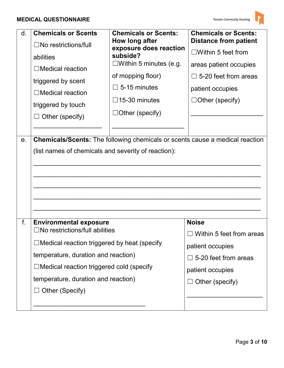| d. | <b>Chemicals or Scents</b><br>$\Box$ No restrictions/full<br>abilities<br>$\Box$ Medical reaction<br>triggered by scent<br>$\Box$ Medical reaction<br>triggered by touch<br>$\Box$ Other (specify)                                                                                      | <b>Chemicals or Scents:</b><br>How long after<br>exposure does reaction<br>subside?<br>$\square$ Within 5 minutes (e.g.<br>of mopping floor)<br>$\Box$ 5-15 minutes<br>$\Box$ 15-30 minutes<br>$\Box$ Other (specify) | <b>Chemicals or Scents:</b><br><b>Distance from patient</b><br>$\Box$ Within 5 feet from<br>areas patient occupies<br>$\Box$ 5-20 feet from areas<br>patient occupies<br>$\Box$ Other (specify) |
|----|-----------------------------------------------------------------------------------------------------------------------------------------------------------------------------------------------------------------------------------------------------------------------------------------|-----------------------------------------------------------------------------------------------------------------------------------------------------------------------------------------------------------------------|-------------------------------------------------------------------------------------------------------------------------------------------------------------------------------------------------|
| e. | <b>Chemicals/Scents:</b> The following chemicals or scents cause a medical reaction<br>(list names of chemicals and severity of reaction):                                                                                                                                              |                                                                                                                                                                                                                       |                                                                                                                                                                                                 |
| f. | <b>Environmental exposure</b><br>$\Box$ No restrictions/full abilities<br>$\Box$ Medical reaction triggered by heat (specify<br>temperature, duration and reaction)<br>$\Box$ Medical reaction triggered cold (specify<br>temperature, duration and reaction)<br>$\Box$ Other (Specify) |                                                                                                                                                                                                                       | <b>Noise</b><br>Within 5 feet from areas<br>patient occupies<br>$\Box$ 5-20 feet from areas<br>patient occupies<br>Other (specify)                                                              |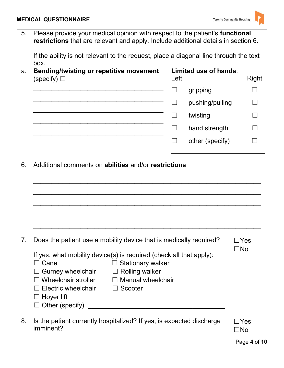| 5. | Please provide your medical opinion with respect to the patient's functional<br>restrictions that are relevant and apply. Include additional details in section 6.<br>If the ability is not relevant to the request, place a diagonal line through the text |                          |                       |              |
|----|-------------------------------------------------------------------------------------------------------------------------------------------------------------------------------------------------------------------------------------------------------------|--------------------------|-----------------------|--------------|
|    | box.                                                                                                                                                                                                                                                        |                          |                       |              |
| a. | <b>Bending/twisting or repetitive movement</b><br>(specify) $\Box$                                                                                                                                                                                          | Left                     | Limited use of hands: | Right        |
|    |                                                                                                                                                                                                                                                             |                          | gripping              |              |
|    |                                                                                                                                                                                                                                                             |                          | pushing/pulling       |              |
|    |                                                                                                                                                                                                                                                             | $\overline{\phantom{0}}$ | twisting              |              |
|    |                                                                                                                                                                                                                                                             | $\Box$                   | hand strength         |              |
|    |                                                                                                                                                                                                                                                             |                          | other (specify)       |              |
|    |                                                                                                                                                                                                                                                             |                          |                       |              |
| 6. | Additional comments on abilities and/or restrictions                                                                                                                                                                                                        |                          |                       |              |
|    |                                                                                                                                                                                                                                                             |                          |                       |              |
|    |                                                                                                                                                                                                                                                             |                          |                       |              |
|    |                                                                                                                                                                                                                                                             |                          |                       |              |
|    |                                                                                                                                                                                                                                                             |                          |                       |              |
|    |                                                                                                                                                                                                                                                             |                          |                       |              |
| 7. | Does the patient use a mobility device that is medically required?                                                                                                                                                                                          |                          |                       | Yes          |
|    | $\square$ No                                                                                                                                                                                                                                                |                          |                       |              |
|    | If yes, what mobility device(s) is required (check all that apply):<br>Cane<br>$\Box$ Stationary walker                                                                                                                                                     |                          |                       |              |
|    | $\Box$ Rolling walker<br>Gurney wheelchair                                                                                                                                                                                                                  |                          |                       |              |
|    | Wheelchair stroller<br><b>Manual wheelchair</b><br>$\Box$                                                                                                                                                                                                   |                          |                       |              |
|    | Electric wheelchair<br>Scooter<br>$\Box$                                                                                                                                                                                                                    |                          |                       |              |
|    | Hoyer lift                                                                                                                                                                                                                                                  |                          |                       |              |
|    | Other (specify)                                                                                                                                                                                                                                             |                          |                       |              |
| 8. | Is the patient currently hospitalized? If yes, is expected discharge                                                                                                                                                                                        |                          |                       | $\Box$ Yes   |
|    | imminent?                                                                                                                                                                                                                                                   |                          |                       | $\square$ No |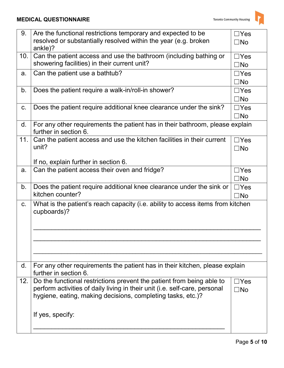| 9.  | Are the functional restrictions temporary and expected to be<br>resolved or substantially resolved within the year (e.g. broken<br>ankle)?                                                                                             |                            |
|-----|----------------------------------------------------------------------------------------------------------------------------------------------------------------------------------------------------------------------------------------|----------------------------|
| 10. | Can the patient access and use the bathroom (including bathing or<br>showering facilities) in their current unit?                                                                                                                      |                            |
| a.  | Can the patient use a bathtub?                                                                                                                                                                                                         | $\Box$ Yes<br>$\square$ No |
| b.  | Does the patient require a walk-in/roll-in shower?                                                                                                                                                                                     | $\Box$ Yes<br>$\square$ No |
| C.  | Does the patient require additional knee clearance under the sink?                                                                                                                                                                     | $\Box$ Yes<br>$\square$ No |
| d.  | For any other requirements the patient has in their bathroom, please explain<br>further in section 6.                                                                                                                                  |                            |
| 11. | Can the patient access and use the kitchen facilities in their current<br>unit?                                                                                                                                                        | $\Box$ Yes<br>$\square$ No |
|     | If no, explain further in section 6.                                                                                                                                                                                                   |                            |
| a.  | Can the patient access their oven and fridge?                                                                                                                                                                                          | $\Box$ Yes<br>$\square$ No |
|     |                                                                                                                                                                                                                                        |                            |
| b.  | Does the patient require additional knee clearance under the sink or<br>kitchen counter?                                                                                                                                               | $\Box$ Yes<br>$\square$ No |
| C.  | What is the patient's reach capacity (i.e. ability to access items from kitchen<br>cupboards)?                                                                                                                                         |                            |
| d.  | For any other requirements the patient has in their kitchen, please explain<br>further in section 6.                                                                                                                                   |                            |
| 12. | Do the functional restrictions prevent the patient from being able to<br>perform activities of daily living in their unit (i.e. self-care, personal<br>hygiene, eating, making decisions, completing tasks, etc.)?<br>If yes, specify: | $\Box$ Yes<br>$\square$ No |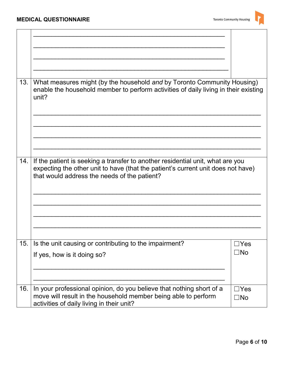

| 13. | What measures might (by the household and by Toronto Community Housing)<br>enable the household member to perform activities of daily living in their existing<br>unit?                                            |                            |
|-----|--------------------------------------------------------------------------------------------------------------------------------------------------------------------------------------------------------------------|----------------------------|
|     |                                                                                                                                                                                                                    |                            |
| 14. | If the patient is seeking a transfer to another residential unit, what are you<br>expecting the other unit to have (that the patient's current unit does not have)<br>that would address the needs of the patient? |                            |
|     |                                                                                                                                                                                                                    |                            |
| 15. | Is the unit causing or contributing to the impairment?<br>If yes, how is it doing so?                                                                                                                              | $\Box$ Yes<br>$\square$ No |
| 16. | In your professional opinion, do you believe that nothing short of a<br>move will result in the household member being able to perform<br>activities of daily living in their unit?                                | $\Box$ Yes<br>$\square$ No |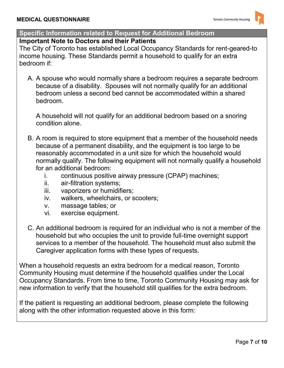## **Specific Information related to Request for Additional Bedroom**

#### **Important Note to Doctors and their Patients**

The City of Toronto has established Local Occupancy Standards for rent-geared-to income housing. These Standards permit a household to qualify for an extra bedroom if:

 A. A spouse who would normally share a bedroom requires a separate bedroom because of a disability. Spouses will not normally qualify for an additional bedroom unless a second bed cannot be accommodated within a shared bedroom.

A household will not qualify for an additional bedroom based on a snoring condition alone.

- B. A room is required to store equipment that a member of the household needs because of a permanent disability, and the equipment is too large to be reasonably accommodated in a unit size for which the household would normally qualify. The following equipment will not normally qualify a household for an additional bedroom:
	- i. continuous positive airway pressure (CPAP) machines;
	- ii. air-filtration systems;
	- iii. vaporizers or humidifiers;
	- iv. walkers, wheelchairs, or scooters;
	- v. massage tables; or
	- vi. exercise equipment.
- C. An additional bedroom is required for an individual who is not a member of the household but who occupies the unit to provide full-time overnight support services to a member of the household. The household must also submit the Caregiver application forms with these types of requests.

When a household requests an extra bedroom for a medical reason, Toronto Community Housing must determine if the household qualifies under the Local Occupancy Standards. From time to time, Toronto Community Housing may ask for new information to verify that the household still qualifies for the extra bedroom.

If the patient is requesting an additional bedroom, please complete the following along with the other information requested above in this form: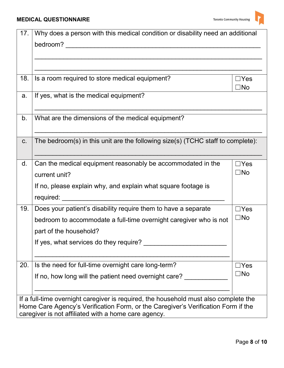| 17.                                                                               | Why does a person with this medical condition or disability need an additional       |                 |  |
|-----------------------------------------------------------------------------------|--------------------------------------------------------------------------------------|-----------------|--|
|                                                                                   | bedroom?                                                                             |                 |  |
|                                                                                   |                                                                                      |                 |  |
|                                                                                   |                                                                                      |                 |  |
|                                                                                   |                                                                                      |                 |  |
| 18.                                                                               | Is a room required to store medical equipment?                                       | ∃Yes<br>∃No     |  |
| a.                                                                                | If yes, what is the medical equipment?                                               |                 |  |
|                                                                                   |                                                                                      |                 |  |
| b.                                                                                | What are the dimensions of the medical equipment?                                    |                 |  |
|                                                                                   |                                                                                      |                 |  |
| C.                                                                                | The bedroom(s) in this unit are the following size(s) (TCHC staff to complete):      |                 |  |
|                                                                                   |                                                                                      |                 |  |
| d.                                                                                | Can the medical equipment reasonably be accommodated in the                          | $\exists$ Yes   |  |
|                                                                                   | current unit?                                                                        | $\square$ No    |  |
|                                                                                   | If no, please explain why, and explain what square footage is                        |                 |  |
|                                                                                   | required:                                                                            |                 |  |
| 19.                                                                               | Does your patient's disability require them to have a separate                       | $\exists$ Yes   |  |
|                                                                                   | bedroom to accommodate a full-time overnight caregiver who is not                    | $\square$ No    |  |
|                                                                                   | part of the household?                                                               |                 |  |
|                                                                                   | If yes, what services do they require?                                               |                 |  |
|                                                                                   |                                                                                      |                 |  |
| 20.                                                                               | Is the need for full-time overnight care long-term?                                  | $\sqsupset$ Yes |  |
|                                                                                   | If no, how long will the patient need overnight care?                                | $\square$ No    |  |
|                                                                                   |                                                                                      |                 |  |
|                                                                                   | If a full-time overnight caregiver is required, the household must also complete the |                 |  |
| Home Care Agency's Verification Form, or the Caregiver's Verification Form if the |                                                                                      |                 |  |
| caregiver is not affiliated with a home care agency.                              |                                                                                      |                 |  |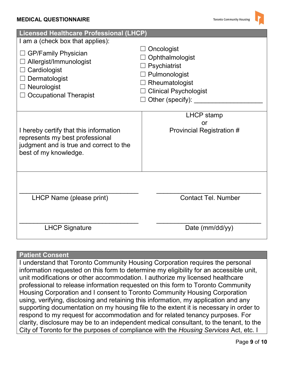| Licensed Healthcare Professional (LHCP)                                                                                                       |                                                                                                                                      |  |  |
|-----------------------------------------------------------------------------------------------------------------------------------------------|--------------------------------------------------------------------------------------------------------------------------------------|--|--|
| I am a (check box that applies):                                                                                                              |                                                                                                                                      |  |  |
| <b>GP/Family Physician</b><br>Allergist/Immunologist<br>Cardiologist<br>Dermatologist<br>Neurologist<br><b>Occupational Therapist</b>         | Oncologist<br>Ophthalmologist<br>Psychiatrist<br>Pulmonologist<br>Rheumatologist<br><b>Clinical Psychologist</b><br>Other (specify): |  |  |
| I hereby certify that this information<br>represents my best professional<br>judgment and is true and correct to the<br>best of my knowledge. | <b>LHCP</b> stamp<br>or<br><b>Provincial Registration #</b>                                                                          |  |  |
| LHCP Name (please print)                                                                                                                      | <b>Contact Tel. Number</b>                                                                                                           |  |  |
| <b>LHCP Signature</b>                                                                                                                         | Date (mm/dd/yy)                                                                                                                      |  |  |

#### **Patient Consent**

 I understand that Toronto Community Housing Corporation requires the personal information requested on this form to determine my eligibility for an accessible unit, unit modifications or other accommodation. I authorize my licensed healthcare professional to release information requested on this form to Toronto Community Housing Corporation and I consent to Toronto Community Housing Corporation using, verifying, disclosing and retaining this information, my application and any supporting documentation on my housing file to the extent it is necessary in order to respond to my request for accommodation and for related tenancy purposes. For clarity, disclosure may be to an independent medical consultant, to the tenant, to the City of Toronto for the purposes of compliance with the *Housing Services* Act, etc. I